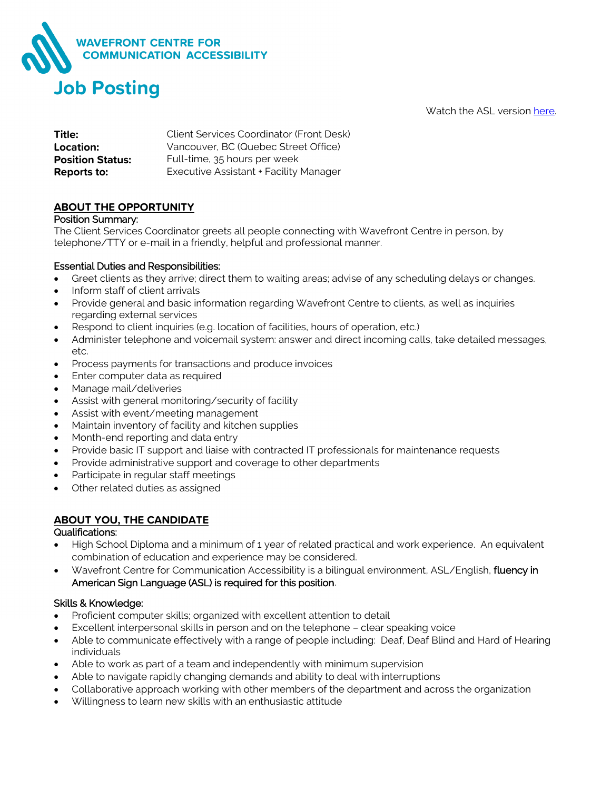

Watch the ASL version [here.](https://youtu.be/z0nxNEgfXRQ)

| Title:                  | Client Services Coordinator (Front Desk) |
|-------------------------|------------------------------------------|
| Location:               | Vancouver, BC (Quebec Street Office)     |
| <b>Position Status:</b> | Full-time, 35 hours per week             |
| Reports to:             | Executive Assistant + Facility Manager   |

## **ABOUT THE OPPORTUNITY**

### Position Summary:

The Client Services Coordinator greets all people connecting with Wavefront Centre in person, by telephone/TTY or e-mail in a friendly, helpful and professional manner.

### Essential Duties and Responsibilities:

- Greet clients as they arrive; direct them to waiting areas; advise of any scheduling delays or changes.
- Inform staff of client arrivals
- Provide general and basic information regarding Wavefront Centre to clients, as well as inquiries regarding external services
- Respond to client inquiries (e.g. location of facilities, hours of operation, etc.)
- Administer telephone and voicemail system: answer and direct incoming calls, take detailed messages, etc.
- Process payments for transactions and produce invoices
- Enter computer data as required
- Manage mail/deliveries
- Assist with general monitoring/security of facility
- Assist with event/meeting management
- Maintain inventory of facility and kitchen supplies
- Month-end reporting and data entry
- Provide basic IT support and liaise with contracted IT professionals for maintenance requests
- Provide administrative support and coverage to other departments
- Participate in regular staff meetings
- Other related duties as assigned

### **ABOUT YOU, THE CANDIDATE**

### Qualifications:

- High School Diploma and a minimum of 1 year of related practical and work experience. An equivalent combination of education and experience may be considered.
- Wavefront Centre for Communication Accessibility is a bilingual environment, ASL/English, fluency in American Sign Language (ASL) is required for this position.

### Skills & Knowledge:

- Proficient computer skills; organized with excellent attention to detail
- Excellent interpersonal skills in person and on the telephone clear speaking voice
- Able to communicate effectively with a range of people including: Deaf, Deaf Blind and Hard of Hearing individuals
- Able to work as part of a team and independently with minimum supervision
- Able to navigate rapidly changing demands and ability to deal with interruptions
- Collaborative approach working with other members of the department and across the organization
- Willingness to learn new skills with an enthusiastic attitude